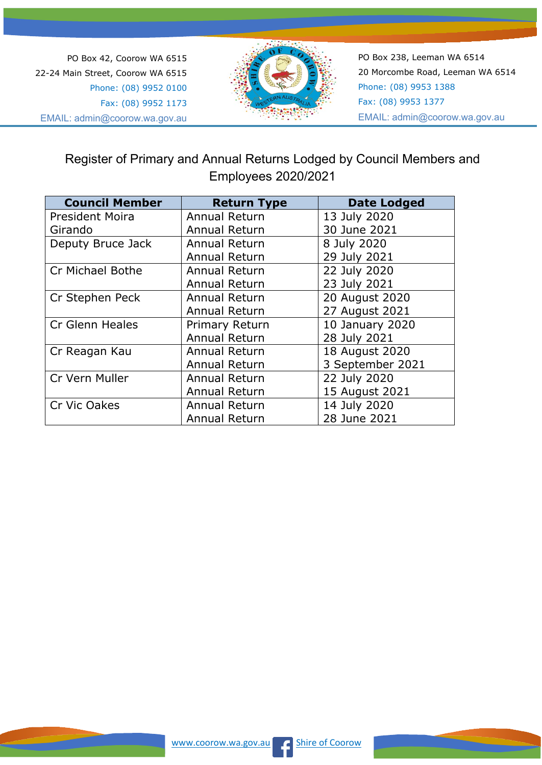PO Box 42, Coorow WA 6515 22-24 Main Street, Coorow WA 6515 Phone: (08) 9952 0100 Fax: (08) 9952 1173 EMAIL: admin@coorow.wa.gov.au



PO Box 238, Leeman WA 6514 20 Morcombe Road, Leeman WA 6514 Phone: (08) 9953 1388 Fax: (08) 9953 1377 EMAIL: admin@coorow.wa.gov.au

## Register of Primary and Annual Returns Lodged by Council Members and Employees 2020/2021

| <b>Council Member</b>   | <b>Return Type</b>   | <b>Date Lodged</b> |
|-------------------------|----------------------|--------------------|
| <b>President Moira</b>  | Annual Return        | 13 July 2020       |
| Girando                 | Annual Return        | 30 June 2021       |
| Deputy Bruce Jack       | Annual Return        | 8 July 2020        |
|                         | Annual Return        | 29 July 2021       |
| <b>Cr Michael Bothe</b> | Annual Return        | 22 July 2020       |
|                         | Annual Return        | 23 July 2021       |
| Cr Stephen Peck         | <b>Annual Return</b> | 20 August 2020     |
|                         | Annual Return        | 27 August 2021     |
| Cr Glenn Heales         | Primary Return       | 10 January 2020    |
|                         | Annual Return        | 28 July 2021       |
| Cr Reagan Kau           | Annual Return        | 18 August 2020     |
|                         | Annual Return        | 3 September 2021   |
| Cr Vern Muller          | Annual Return        | 22 July 2020       |
|                         | Annual Return        | 15 August 2021     |
| Cr Vic Oakes            | Annual Return        | 14 July 2020       |
|                         | Annual Return        | 28 June 2021       |